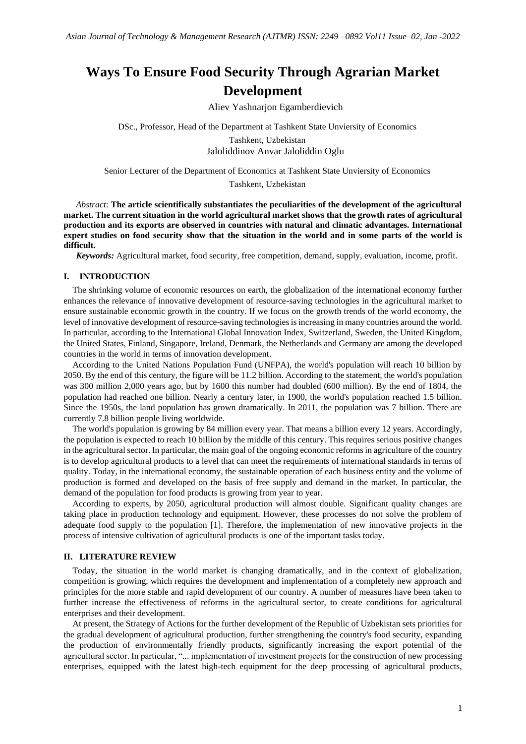# **Ways To Ensure Food Security Through Agrarian Market Development**

Aliev Yashnarjon Egamberdievich

DSc., Professor, Head of the Department at Tashkent State Unviersity of Economics Tashkent, Uzbekistan Jaloliddinov Anvar Jaloliddin Oglu

Senior Lecturer of the Department of Economics at Tashkent State Unviersity of Economics

Tashkent, Uzbekistan

*Abstract*: **The article scientifically substantiates the peculiarities of the development of the agricultural market. The current situation in the world agricultural market shows that the growth rates of agricultural production and its exports are observed in countries with natural and climatic advantages. International expert studies on food security show that the situation in the world and in some parts of the world is difficult.**

*Keywords:* Agricultural market, food security, free competition, demand, supply, evaluation, income, profit.

## **I. INTRODUCTION**

The shrinking volume of economic resources on earth, the globalization of the international economy further enhances the relevance of innovative development of resource-saving technologies in the agricultural market to ensure sustainable economic growth in the country. If we focus on the growth trends of the world economy, the level of innovative development of resource-saving technologies is increasing in many countries around the world. In particular, according to the International Global Innovation Index, Switzerland, Sweden, the United Kingdom, the United States, Finland, Singapore, Ireland, Denmark, the Netherlands and Germany are among the developed countries in the world in terms of innovation development.

According to the United Nations Population Fund (UNFPA), the world's population will reach 10 billion by 2050. By the end of this century, the figure will be 11.2 billion. According to the statement, the world's population was 300 million 2,000 years ago, but by 1600 this number had doubled (600 million). By the end of 1804, the population had reached one billion. Nearly a century later, in 1900, the world's population reached 1.5 billion. Since the 1950s, the land population has grown dramatically. In 2011, the population was 7 billion. There are currently 7.8 billion people living worldwide.

The world's population is growing by 84 million every year. That means a billion every 12 years. Accordingly, the population is expected to reach 10 billion by the middle of this century. This requires serious positive changes in the agricultural sector. In particular, the main goal of the ongoing economic reforms in agriculture of the country is to develop agricultural products to a level that can meet the requirements of international standards in terms of quality. Today, in the international economy, the sustainable operation of each business entity and the volume of production is formed and developed on the basis of free supply and demand in the market. In particular, the demand of the population for food products is growing from year to year.

According to experts, by 2050, agricultural production will almost double. Significant quality changes are taking place in production technology and equipment. However, these processes do not solve the problem of adequate food supply to the population [1]. Therefore, the implementation of new innovative projects in the process of intensive cultivation of agricultural products is one of the important tasks today.

### **II. LITERATURE REVIEW**

Today, the situation in the world market is changing dramatically, and in the context of globalization, competition is growing, which requires the development and implementation of a completely new approach and principles for the more stable and rapid development of our country. A number of measures have been taken to further increase the effectiveness of reforms in the agricultural sector, to create conditions for agricultural enterprises and their development.

At present, the Strategy of Actions for the further development of the Republic of Uzbekistan sets priorities for the gradual development of agricultural production, further strengthening the country's food security, expanding the production of environmentally friendly products, significantly increasing the export potential of the agricultural sector. In particular, "... implementation of investment projects for the construction of new processing enterprises, equipped with the latest high-tech equipment for the deep processing of agricultural products,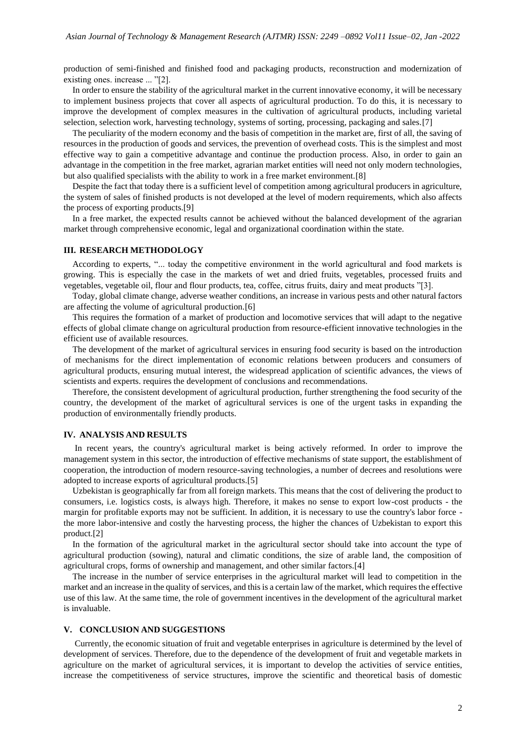production of semi-finished and finished food and packaging products, reconstruction and modernization of existing ones. increase ... "[2].

In order to ensure the stability of the agricultural market in the current innovative economy, it will be necessary to implement business projects that cover all aspects of agricultural production. To do this, it is necessary to improve the development of complex measures in the cultivation of agricultural products, including varietal selection, selection work, harvesting technology, systems of sorting, processing, packaging and sales.[7]

The peculiarity of the modern economy and the basis of competition in the market are, first of all, the saving of resources in the production of goods and services, the prevention of overhead costs. This is the simplest and most effective way to gain a competitive advantage and continue the production process. Also, in order to gain an advantage in the competition in the free market, agrarian market entities will need not only modern technologies, but also qualified specialists with the ability to work in a free market environment.[8]

Despite the fact that today there is a sufficient level of competition among agricultural producers in agriculture, the system of sales of finished products is not developed at the level of modern requirements, which also affects the process of exporting products.[9]

In a free market, the expected results cannot be achieved without the balanced development of the agrarian market through comprehensive economic, legal and organizational coordination within the state.

#### **III. RESEARCH METHODOLOGY**

According to experts, "... today the competitive environment in the world agricultural and food markets is growing. This is especially the case in the markets of wet and dried fruits, vegetables, processed fruits and vegetables, vegetable oil, flour and flour products, tea, coffee, citrus fruits, dairy and meat products "[3].

Today, global climate change, adverse weather conditions, an increase in various pests and other natural factors are affecting the volume of agricultural production.[6]

This requires the formation of a market of production and locomotive services that will adapt to the negative effects of global climate change on agricultural production from resource-efficient innovative technologies in the efficient use of available resources.

The development of the market of agricultural services in ensuring food security is based on the introduction of mechanisms for the direct implementation of economic relations between producers and consumers of agricultural products, ensuring mutual interest, the widespread application of scientific advances, the views of scientists and experts. requires the development of conclusions and recommendations.

Therefore, the consistent development of agricultural production, further strengthening the food security of the country, the development of the market of agricultural services is one of the urgent tasks in expanding the production of environmentally friendly products.

#### **IV. ANALYSIS AND RESULTS**

In recent years, the country's agricultural market is being actively reformed. In order to improve the management system in this sector, the introduction of effective mechanisms of state support, the establishment of cooperation, the introduction of modern resource-saving technologies, a number of decrees and resolutions were adopted to increase exports of agricultural products.[5]

Uzbekistan is geographically far from all foreign markets. This means that the cost of delivering the product to consumers, i.e. logistics costs, is always high. Therefore, it makes no sense to export low-cost products - the margin for profitable exports may not be sufficient. In addition, it is necessary to use the country's labor force the more labor-intensive and costly the harvesting process, the higher the chances of Uzbekistan to export this product.[2]

In the formation of the agricultural market in the agricultural sector should take into account the type of agricultural production (sowing), natural and climatic conditions, the size of arable land, the composition of agricultural crops, forms of ownership and management, and other similar factors.[4]

The increase in the number of service enterprises in the agricultural market will lead to competition in the market and an increase in the quality of services, and this is a certain law of the market, which requires the effective use of this law. At the same time, the role of government incentives in the development of the agricultural market is invaluable.

#### **V. CONCLUSION AND SUGGESTIONS**

Currently, the economic situation of fruit and vegetable enterprises in agriculture is determined by the level of development of services. Therefore, due to the dependence of the development of fruit and vegetable markets in agriculture on the market of agricultural services, it is important to develop the activities of service entities, increase the competitiveness of service structures, improve the scientific and theoretical basis of domestic